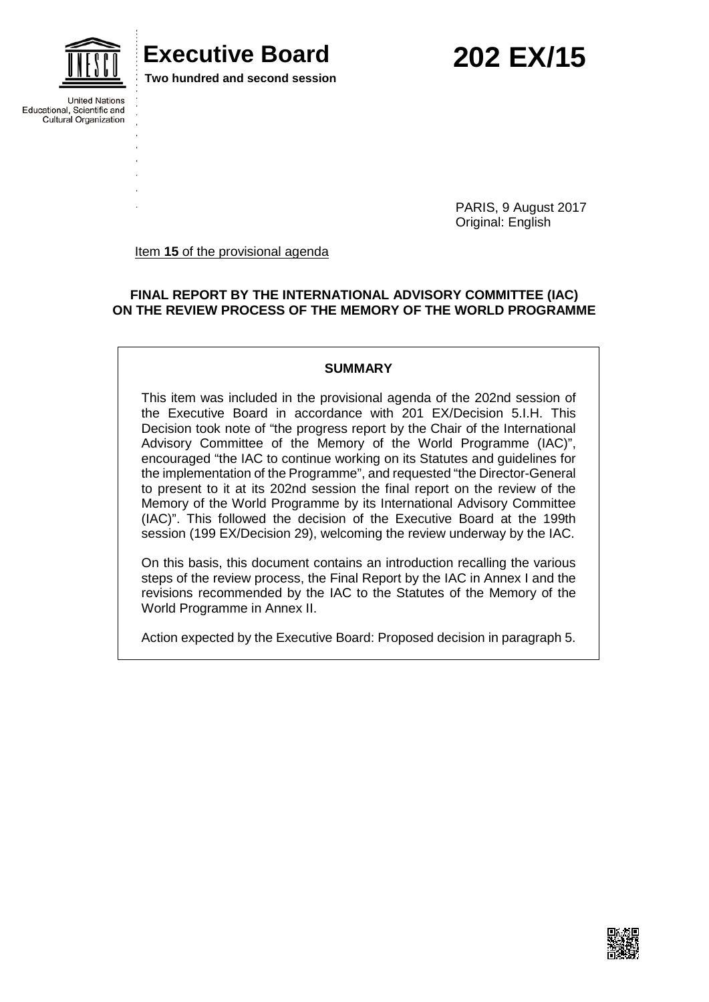

### **Executive Board 202 EX/15**

**Two hundred and second session**

**United Nations** Educational, Scientific and **Cultural Organization** 

> PARIS, 9 August 2017 Original: English

Item **15** of the provisional agenda

#### **FINAL REPORT BY THE INTERNATIONAL ADVISORY COMMITTEE (IAC) ON THE REVIEW PROCESS OF THE MEMORY OF THE WORLD PROGRAMME**

#### **SUMMARY**

This item was included in the provisional agenda of the 202nd session of the Executive Board in accordance with 201 EX/Decision 5.I.H. This Decision took note of "the progress report by the Chair of the International Advisory Committee of the Memory of the World Programme (IAC)", encouraged "the IAC to continue working on its Statutes and guidelines for the implementation of the Programme", and requested "the Director-General to present to it at its 202nd session the final report on the review of the Memory of the World Programme by its International Advisory Committee (IAC)". This followed the decision of the Executive Board at the 199th session (199 EX/Decision 29), welcoming the review underway by the IAC.

On this basis, this document contains an introduction recalling the various steps of the review process, the Final Report by the IAC in Annex I and the revisions recommended by the IAC to the Statutes of the Memory of the World Programme in Annex II.

Action expected by the Executive Board: Proposed decision in paragraph 5.

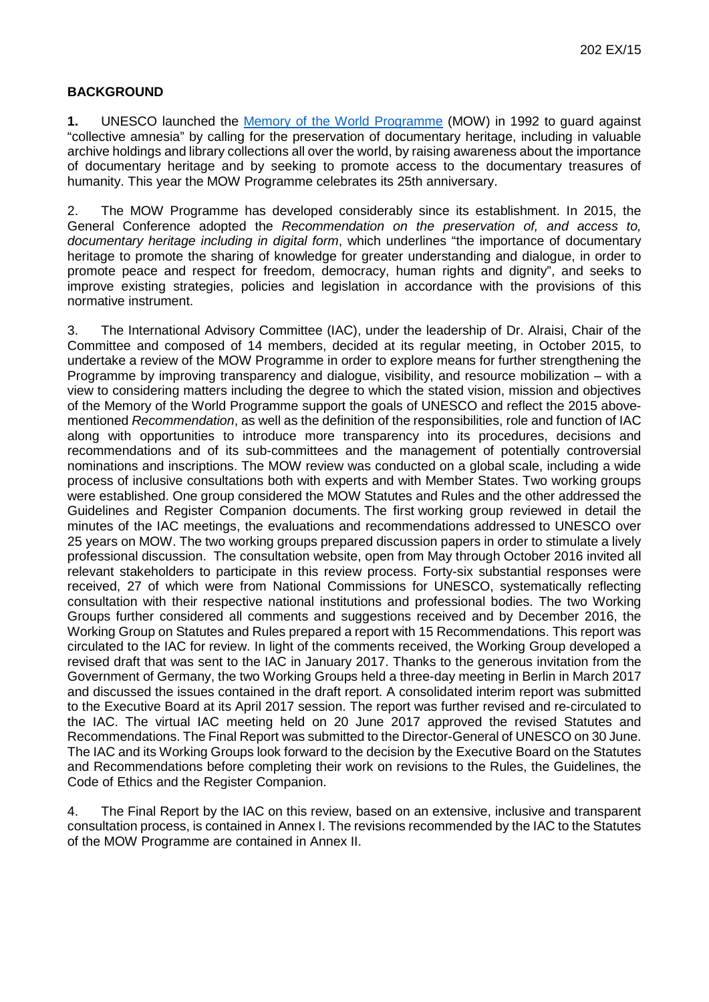#### **BACKGROUND**

**1.** UNESCO launched the [Memory of the World Programme](http://www.unesco.org/new/en/communication-and-information/flagship-project-activities/memory-of-the-world/homepage/#_blank) (MOW) in 1992 to guard against "collective amnesia" by calling for the preservation of documentary heritage, including in valuable archive holdings and library collections all over the world, by raising awareness about the importance of documentary heritage and by seeking to promote access to the documentary treasures of humanity. This year the MOW Programme celebrates its 25th anniversary.

2. The MOW Programme has developed considerably since its establishment. In 2015, the General Conference adopted the *Recommendation on the preservation of, and access to, documentary heritage including in digital form*, which underlines "the importance of documentary heritage to promote the sharing of knowledge for greater understanding and dialogue, in order to promote peace and respect for freedom, democracy, human rights and dignity", and seeks to improve existing strategies, policies and legislation in accordance with the provisions of this normative instrument.

3. The International Advisory Committee (IAC), under the leadership of Dr. Alraisi, Chair of the Committee and composed of 14 members, decided at its regular meeting, in October 2015, to undertake a review of the MOW Programme in order to explore means for further strengthening the Programme by improving transparency and dialogue, visibility, and resource mobilization – with a view to considering matters including the degree to which the stated vision, mission and objectives of the Memory of the World Programme support the goals of UNESCO and reflect the 2015 abovementioned *Recommendation*, as well as the definition of the responsibilities, role and function of IAC along with opportunities to introduce more transparency into its procedures, decisions and recommendations and of its sub-committees and the management of potentially controversial nominations and inscriptions. The MOW review was conducted on a global scale, including a wide process of inclusive consultations both with experts and with Member States. Two working groups were established. One group considered the MOW Statutes and Rules and the other addressed the Guidelines and Register Companion documents. The first working group reviewed in detail the minutes of the IAC meetings, the evaluations and recommendations addressed to UNESCO over 25 years on MOW. The two working groups prepared discussion papers in order to stimulate a lively professional discussion. The consultation website, open from May through October 2016 invited all relevant stakeholders to participate in this review process. Forty-six substantial responses were received, 27 of which were from National Commissions for UNESCO, systematically reflecting consultation with their respective national institutions and professional bodies. The two Working Groups further considered all comments and suggestions received and by December 2016, the Working Group on Statutes and Rules prepared a report with 15 Recommendations. This report was circulated to the IAC for review. In light of the comments received, the Working Group developed a revised draft that was sent to the IAC in January 2017. Thanks to the generous invitation from the Government of Germany, the two Working Groups held a three-day meeting in Berlin in March 2017 and discussed the issues contained in the draft report. A consolidated interim report was submitted to the Executive Board at its April 2017 session. The report was further revised and re-circulated to the IAC. The virtual IAC meeting held on 20 June 2017 approved the revised Statutes and Recommendations. The Final Report was submitted to the Director-General of UNESCO on 30 June. The IAC and its Working Groups look forward to the decision by the Executive Board on the Statutes and Recommendations before completing their work on revisions to the Rules, the Guidelines, the Code of Ethics and the Register Companion.

4. The Final Report by the IAC on this review, based on an extensive, inclusive and transparent consultation process, is contained in Annex I. The revisions recommended by the IAC to the Statutes of the MOW Programme are contained in Annex II.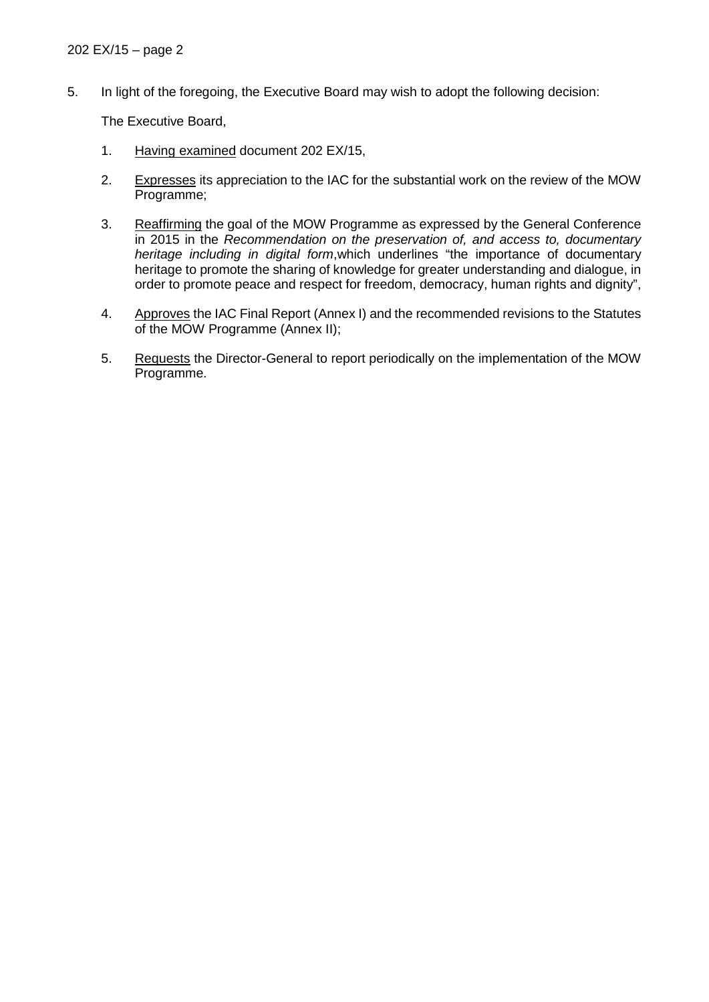5. In light of the foregoing, the Executive Board may wish to adopt the following decision:

The Executive Board,

- 1. Having examined document 202 EX/15,
- 2. Expresses its appreciation to the IAC for the substantial work on the review of the MOW Programme;
- 3. Reaffirming the goal of the MOW Programme as expressed by the General Conference in 2015 in the *Recommendation on the preservation of, and access to, documentary heritage including in digital form*,which underlines "the importance of documentary heritage to promote the sharing of knowledge for greater understanding and dialogue, in order to promote peace and respect for freedom, democracy, human rights and dignity",
- 4. Approves the IAC Final Report (Annex I) and the recommended revisions to the Statutes of the MOW Programme (Annex II);
- 5. Requests the Director-General to report periodically on the implementation of the MOW Programme.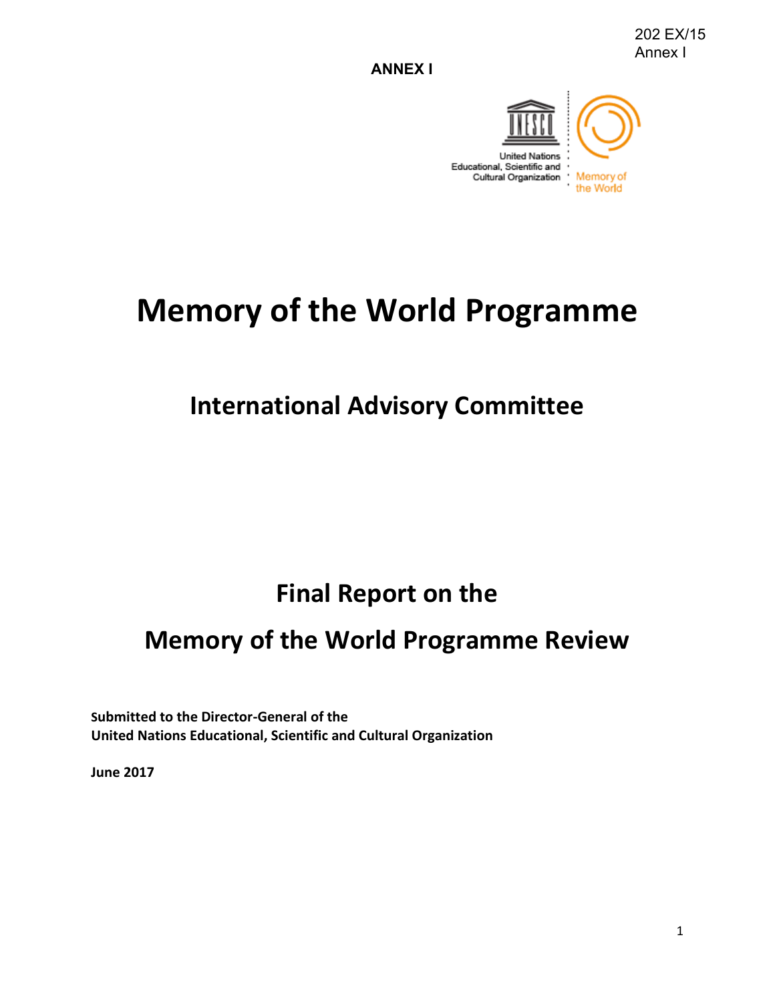**ANNEX I**



# **Memory of the World Programme**

## **International Advisory Committee**

## **Final Report on the**

### **Memory of the World Programme Review**

**Submitted to the Director-General of the United Nations Educational, Scientific and Cultural Organization** 

**June 2017**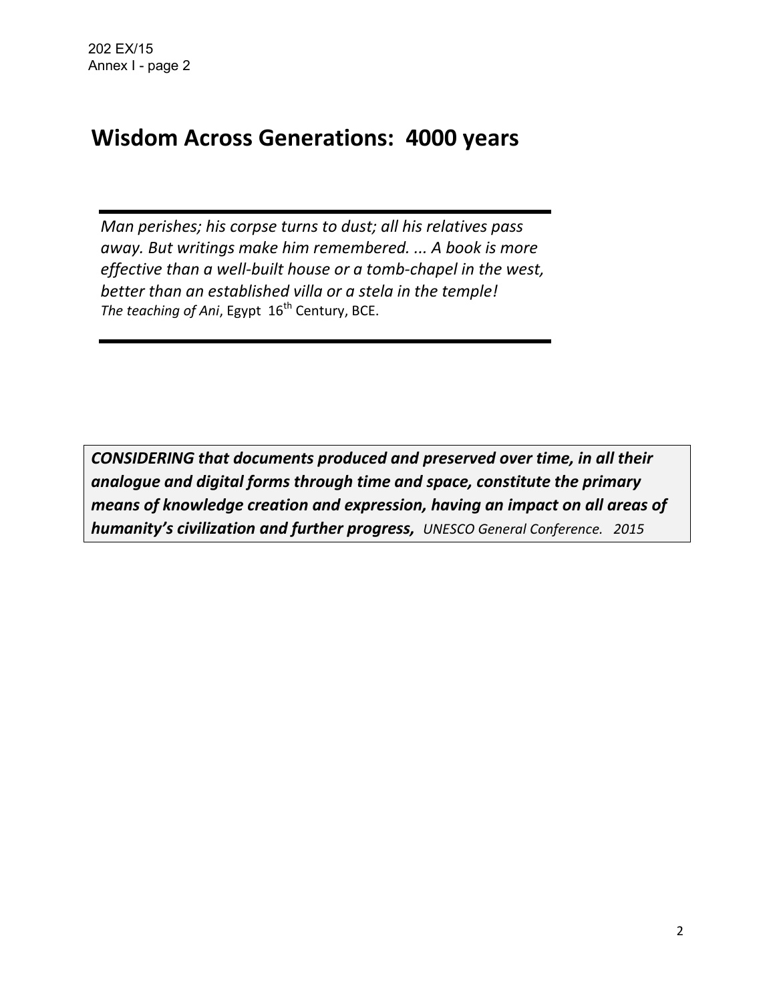### **Wisdom Across Generations: 4000 years**

*Man perishes; his corpse turns to dust; all his relatives pass away. But writings make him remembered. ... A book is more effective than a well-built house or a tomb-chapel in the west, better than an established villa or a stela in the temple!*  The teaching of Ani, Egypt 16<sup>th</sup> Century, BCE.

*CONSIDERING that documents produced and preserved over time, in all their analogue and digital forms through time and space, constitute the primary means of knowledge creation and expression, having an impact on all areas of humanity's civilization and further progress, UNESCO General Conference. 2015*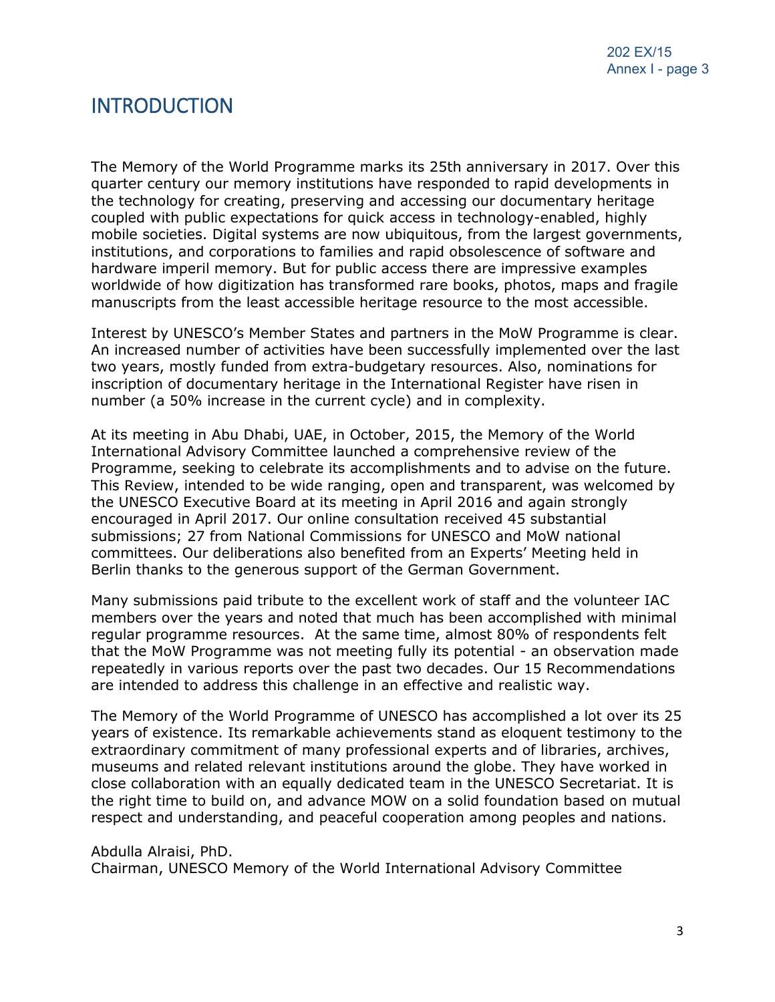### **INTRODUCTION**

The Memory of the World Programme marks its 25th anniversary in 2017. Over this quarter century our memory institutions have responded to rapid developments in the technology for creating, preserving and accessing our documentary heritage coupled with public expectations for quick access in technology-enabled, highly mobile societies. Digital systems are now ubiquitous, from the largest governments, institutions, and corporations to families and rapid obsolescence of software and hardware imperil memory. But for public access there are impressive examples worldwide of how digitization has transformed rare books, photos, maps and fragile manuscripts from the least accessible heritage resource to the most accessible.

Interest by UNESCO's Member States and partners in the MoW Programme is clear. An increased number of activities have been successfully implemented over the last two years, mostly funded from extra-budgetary resources. Also, nominations for inscription of documentary heritage in the International Register have risen in number (a 50% increase in the current cycle) and in complexity.

At its meeting in Abu Dhabi, UAE, in October, 2015, the Memory of the World International Advisory Committee launched a comprehensive review of the Programme, seeking to celebrate its accomplishments and to advise on the future. This Review, intended to be wide ranging, open and transparent, was welcomed by the UNESCO Executive Board at its meeting in April 2016 and again strongly encouraged in April 2017. Our online consultation received 45 substantial submissions; 27 from National Commissions for UNESCO and MoW national committees. Our deliberations also benefited from an Experts' Meeting held in Berlin thanks to the generous support of the German Government.

Many submissions paid tribute to the excellent work of staff and the volunteer IAC members over the years and noted that much has been accomplished with minimal regular programme resources. At the same time, almost 80% of respondents felt that the MoW Programme was not meeting fully its potential - an observation made repeatedly in various reports over the past two decades. Our 15 Recommendations are intended to address this challenge in an effective and realistic way.

The Memory of the World Programme of UNESCO has accomplished a lot over its 25 years of existence. Its remarkable achievements stand as eloquent testimony to the extraordinary commitment of many professional experts and of libraries, archives, museums and related relevant institutions around the globe. They have worked in close collaboration with an equally dedicated team in the UNESCO Secretariat. It is the right time to build on, and advance MOW on a solid foundation based on mutual respect and understanding, and peaceful cooperation among peoples and nations.

Abdulla Alraisi, PhD.

Chairman, UNESCO Memory of the World International Advisory Committee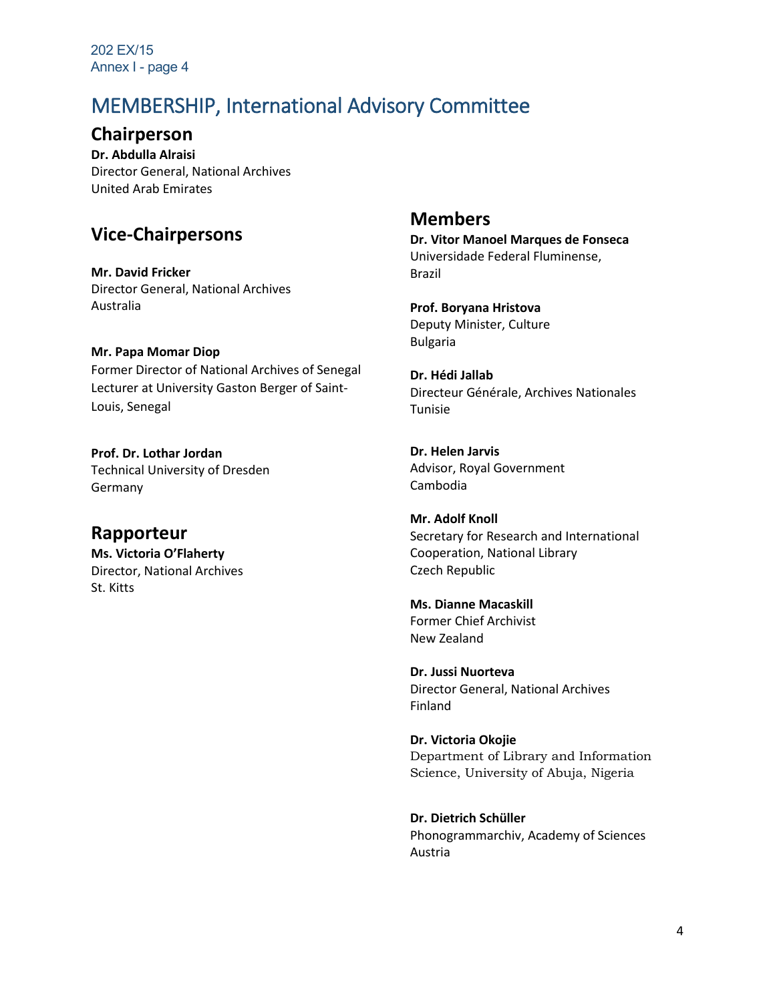202 EX/15 Annex I - page 4

### MEMBERSHIP, International Advisory Committee

**Chairperson** 

**Dr. Abdulla Alraisi**  Director General, National Archives United Arab Emirates

### **Vice-Chairpersons**

**Mr. David Fricker**  Director General, National Archives Australia

**Mr. Papa Momar Diop**

Former Director of National Archives of Senegal Lecturer at University Gaston Berger of Saint-Louis, Senegal

**Prof. Dr. Lothar Jordan**  Technical University of Dresden Germany

**Rapporteur Ms. Victoria O'Flaherty** Director, National Archives St. Kitts

#### **Members**

**Dr. Vitor Manoel Marques de Fonseca** Universidade Federal Fluminense, Brazil

**Prof. Boryana Hristova**  Deputy Minister, Culture Bulgaria

**Dr. Hédi Jallab**  Directeur Générale, Archives Nationales Tunisie

**Dr. Helen Jarvis**  Advisor, Royal Government Cambodia

**Mr. Adolf Knoll**  Secretary for Research and International Cooperation, National Library Czech Republic

**Ms. Dianne Macaskill**  Former Chief Archivist New Zealand

**Dr. Jussi Nuorteva**  Director General, National Archives Finland

**Dr. Victoria Okojie**  Department of Library and Information Science, University of Abuja, Nigeria

**Dr. Dietrich Schüller**  Phonogrammarchiv, Academy of Sciences Austria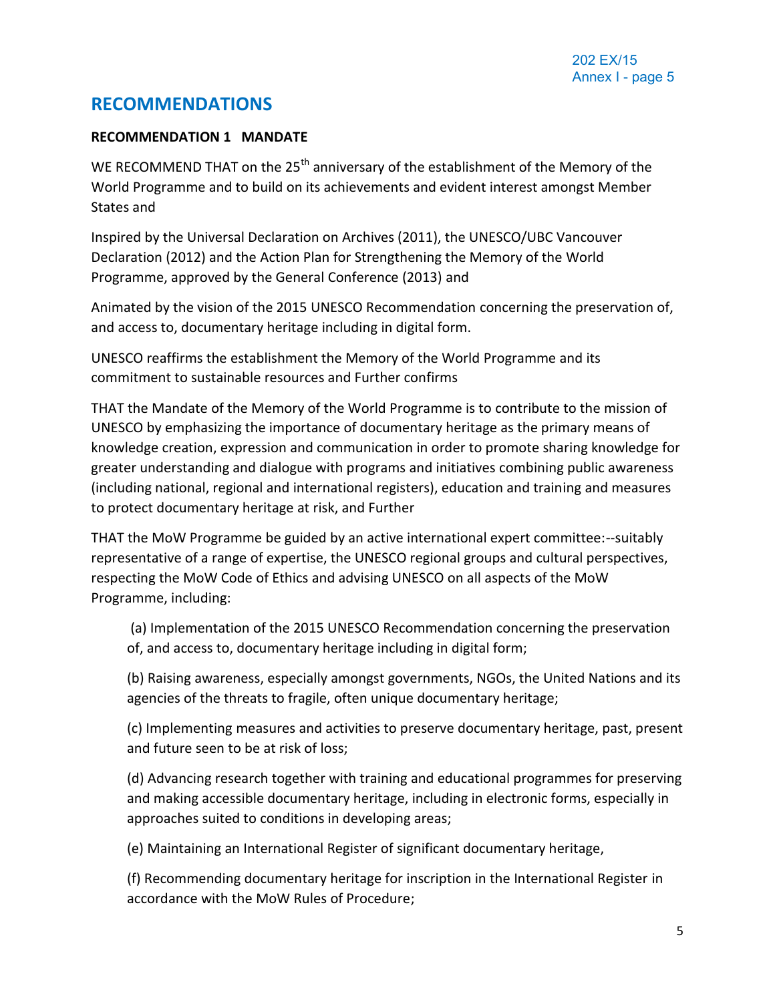#### **RECOMMENDATIONS**

#### **RECOMMENDATION 1 MANDATE**

WE RECOMMEND THAT on the 25<sup>th</sup> anniversary of the establishment of the Memory of the World Programme and to build on its achievements and evident interest amongst Member States and

Inspired by the Universal Declaration on Archives (2011), the UNESCO/UBC Vancouver Declaration (2012) and the Action Plan for Strengthening the Memory of the World Programme, approved by the General Conference (2013) and

Animated by the vision of the 2015 UNESCO Recommendation concerning the preservation of, and access to, documentary heritage including in digital form.

UNESCO reaffirms the establishment the Memory of the World Programme and its commitment to sustainable resources and Further confirms

THAT the Mandate of the Memory of the World Programme is to contribute to the mission of UNESCO by emphasizing the importance of documentary heritage as the primary means of knowledge creation, expression and communication in order to promote sharing knowledge for greater understanding and dialogue with programs and initiatives combining public awareness (including national, regional and international registers), education and training and measures to protect documentary heritage at risk, and Further

THAT the MoW Programme be guided by an active international expert committee:--suitably representative of a range of expertise, the UNESCO regional groups and cultural perspectives, respecting the MoW Code of Ethics and advising UNESCO on all aspects of the MoW Programme, including:

(a) Implementation of the 2015 UNESCO Recommendation concerning the preservation of, and access to, documentary heritage including in digital form;

(b) Raising awareness, especially amongst governments, NGOs, the United Nations and its agencies of the threats to fragile, often unique documentary heritage;

(c) Implementing measures and activities to preserve documentary heritage, past, present and future seen to be at risk of loss;

(d) Advancing research together with training and educational programmes for preserving and making accessible documentary heritage, including in electronic forms, especially in approaches suited to conditions in developing areas;

(e) Maintaining an International Register of significant documentary heritage,

(f) Recommending documentary heritage for inscription in the International Register in accordance with the MoW Rules of Procedure;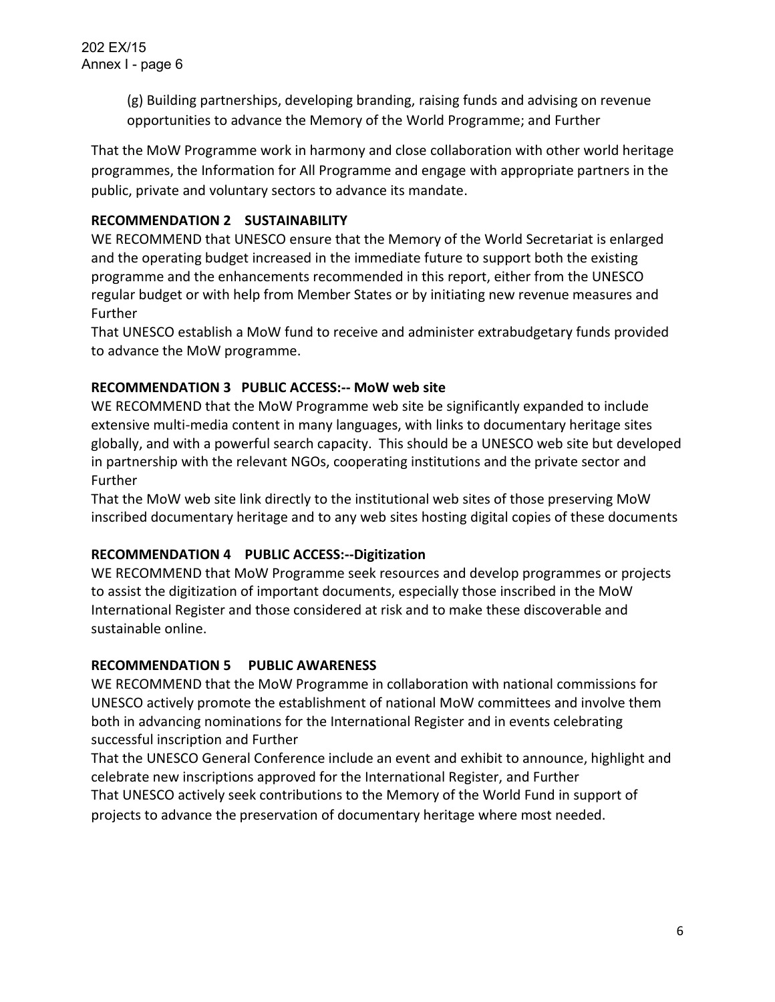(g) Building partnerships, developing branding, raising funds and advising on revenue opportunities to advance the Memory of the World Programme; and Further

That the MoW Programme work in harmony and close collaboration with other world heritage programmes, the Information for All Programme and engage with appropriate partners in the public, private and voluntary sectors to advance its mandate.

#### **RECOMMENDATION 2 SUSTAINABILITY**

WE RECOMMEND that UNESCO ensure that the Memory of the World Secretariat is enlarged and the operating budget increased in the immediate future to support both the existing programme and the enhancements recommended in this report, either from the UNESCO regular budget or with help from Member States or by initiating new revenue measures and Further

That UNESCO establish a MoW fund to receive and administer extrabudgetary funds provided to advance the MoW programme.

#### **RECOMMENDATION 3 PUBLIC ACCESS:-- MoW web site**

WE RECOMMEND that the MoW Programme web site be significantly expanded to include extensive multi-media content in many languages, with links to documentary heritage sites globally, and with a powerful search capacity. This should be a UNESCO web site but developed in partnership with the relevant NGOs, cooperating institutions and the private sector and Further

That the MoW web site link directly to the institutional web sites of those preserving MoW inscribed documentary heritage and to any web sites hosting digital copies of these documents

#### **RECOMMENDATION 4 PUBLIC ACCESS:--Digitization**

WE RECOMMEND that MoW Programme seek resources and develop programmes or projects to assist the digitization of important documents, especially those inscribed in the MoW International Register and those considered at risk and to make these discoverable and sustainable online.

#### **RECOMMENDATION 5 PUBLIC AWARENESS**

WE RECOMMEND that the MoW Programme in collaboration with national commissions for UNESCO actively promote the establishment of national MoW committees and involve them both in advancing nominations for the International Register and in events celebrating successful inscription and Further

That the UNESCO General Conference include an event and exhibit to announce, highlight and celebrate new inscriptions approved for the International Register, and Further That UNESCO actively seek contributions to the Memory of the World Fund in support of projects to advance the preservation of documentary heritage where most needed.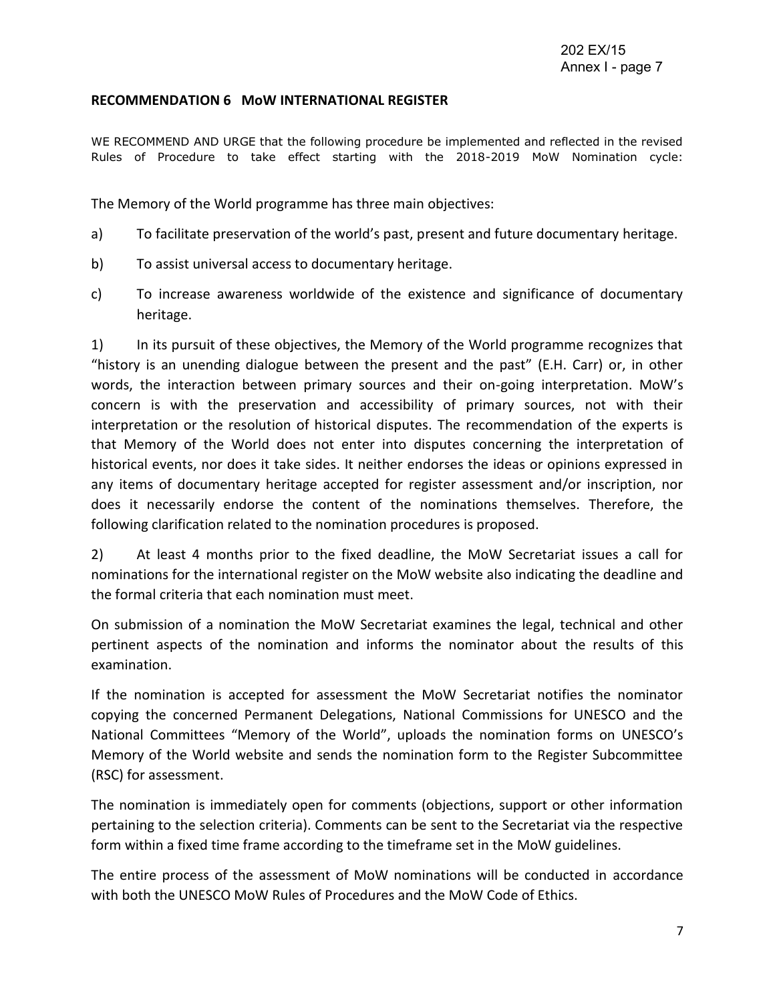#### **RECOMMENDATION 6 MoW INTERNATIONAL REGISTER**

WE RECOMMEND AND URGE that the following procedure be implemented and reflected in the revised Rules of Procedure to take effect starting with the 2018-2019 MoW Nomination cycle:

The Memory of the World programme has three main objectives:

- a) To facilitate preservation of the world's past, present and future documentary heritage.
- b) To assist universal access to documentary heritage.
- c) To increase awareness worldwide of the existence and significance of documentary heritage.

1) In its pursuit of these objectives, the Memory of the World programme recognizes that "history is an unending dialogue between the present and the past" (E.H. Carr) or, in other words, the interaction between primary sources and their on-going interpretation. MoW's concern is with the preservation and accessibility of primary sources, not with their interpretation or the resolution of historical disputes. The recommendation of the experts is that Memory of the World does not enter into disputes concerning the interpretation of historical events, nor does it take sides. It neither endorses the ideas or opinions expressed in any items of documentary heritage accepted for register assessment and/or inscription, nor does it necessarily endorse the content of the nominations themselves. Therefore, the following clarification related to the nomination procedures is proposed.

2) At least 4 months prior to the fixed deadline, the MoW Secretariat issues a call for nominations for the international register on the MoW website also indicating the deadline and the formal criteria that each nomination must meet.

On submission of a nomination the MoW Secretariat examines the legal, technical and other pertinent aspects of the nomination and informs the nominator about the results of this examination.

If the nomination is accepted for assessment the MoW Secretariat notifies the nominator copying the concerned Permanent Delegations, National Commissions for UNESCO and the National Committees "Memory of the World", uploads the nomination forms on UNESCO's Memory of the World website and sends the nomination form to the Register Subcommittee (RSC) for assessment.

The nomination is immediately open for comments (objections, support or other information pertaining to the selection criteria). Comments can be sent to the Secretariat via the respective form within a fixed time frame according to the timeframe set in the MoW guidelines.

The entire process of the assessment of MoW nominations will be conducted in accordance with both the UNESCO MoW Rules of Procedures and the MoW Code of Ethics.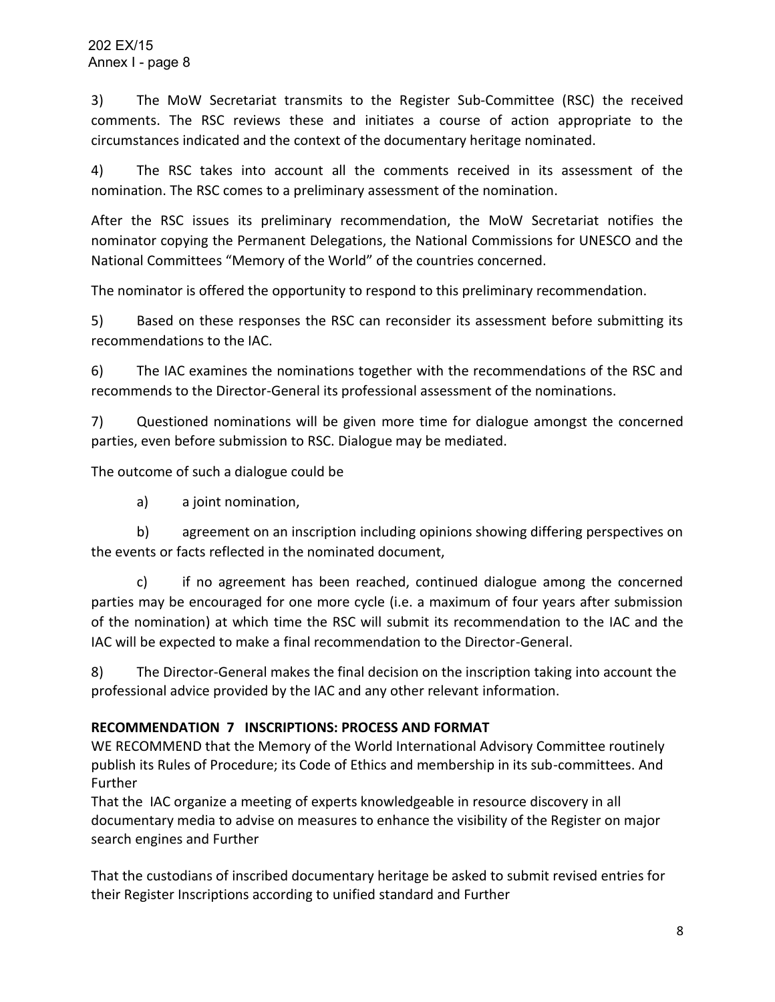3) The MoW Secretariat transmits to the Register Sub-Committee (RSC) the received comments. The RSC reviews these and initiates a course of action appropriate to the circumstances indicated and the context of the documentary heritage nominated.

4) The RSC takes into account all the comments received in its assessment of the nomination. The RSC comes to a preliminary assessment of the nomination.

After the RSC issues its preliminary recommendation, the MoW Secretariat notifies the nominator copying the Permanent Delegations, the National Commissions for UNESCO and the National Committees "Memory of the World" of the countries concerned.

The nominator is offered the opportunity to respond to this preliminary recommendation.

5) Based on these responses the RSC can reconsider its assessment before submitting its recommendations to the IAC.

6) The IAC examines the nominations together with the recommendations of the RSC and recommends to the Director-General its professional assessment of the nominations.

7) Questioned nominations will be given more time for dialogue amongst the concerned parties, even before submission to RSC. Dialogue may be mediated.

The outcome of such a dialogue could be

a) a joint nomination,

b) agreement on an inscription including opinions showing differing perspectives on the events or facts reflected in the nominated document,

c) if no agreement has been reached, continued dialogue among the concerned parties may be encouraged for one more cycle (i.e. a maximum of four years after submission of the nomination) at which time the RSC will submit its recommendation to the IAC and the IAC will be expected to make a final recommendation to the Director-General.

8) The Director-General makes the final decision on the inscription taking into account the professional advice provided by the IAC and any other relevant information.

#### **RECOMMENDATION 7 INSCRIPTIONS: PROCESS AND FORMAT**

WE RECOMMEND that the Memory of the World International Advisory Committee routinely publish its Rules of Procedure; its Code of Ethics and membership in its sub-committees. And Further

That the IAC organize a meeting of experts knowledgeable in resource discovery in all documentary media to advise on measures to enhance the visibility of the Register on major search engines and Further

That the custodians of inscribed documentary heritage be asked to submit revised entries for their Register Inscriptions according to unified standard and Further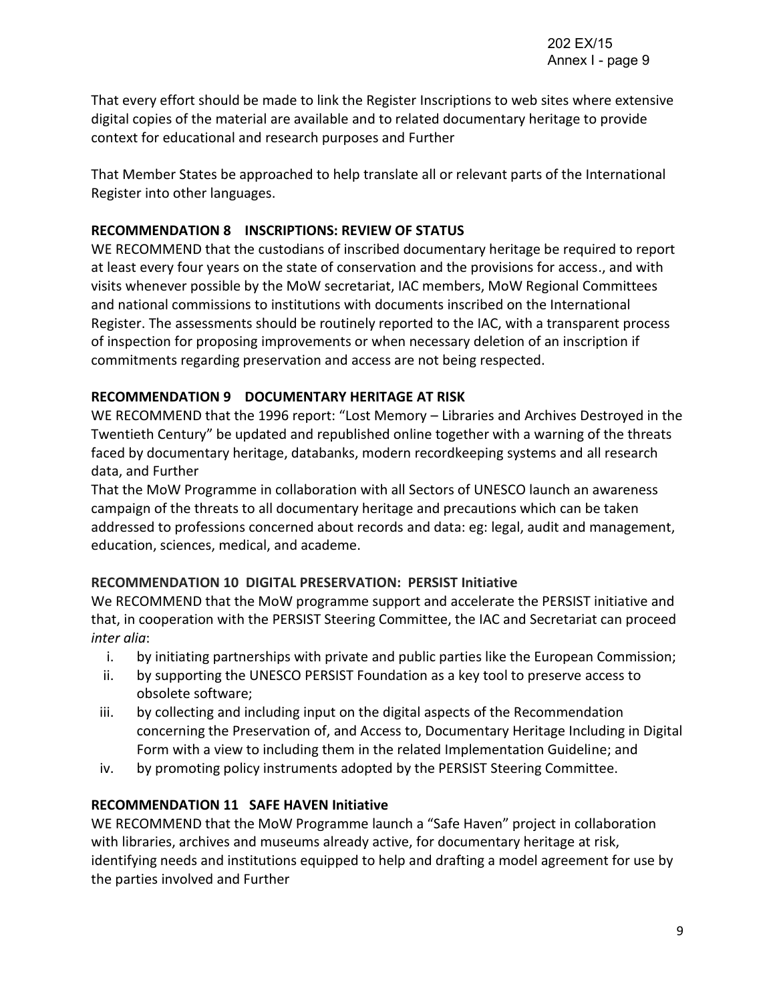That every effort should be made to link the Register Inscriptions to web sites where extensive digital copies of the material are available and to related documentary heritage to provide context for educational and research purposes and Further

That Member States be approached to help translate all or relevant parts of the International Register into other languages.

#### **RECOMMENDATION 8 INSCRIPTIONS: REVIEW OF STATUS**

WE RECOMMEND that the custodians of inscribed documentary heritage be required to report at least every four years on the state of conservation and the provisions for access., and with visits whenever possible by the MoW secretariat, IAC members, MoW Regional Committees and national commissions to institutions with documents inscribed on the International Register. The assessments should be routinely reported to the IAC, with a transparent process of inspection for proposing improvements or when necessary deletion of an inscription if commitments regarding preservation and access are not being respected.

#### **RECOMMENDATION 9 DOCUMENTARY HERITAGE AT RISK**

WE RECOMMEND that the 1996 report: "Lost Memory – Libraries and Archives Destroyed in the Twentieth Century" be updated and republished online together with a warning of the threats faced by documentary heritage, databanks, modern recordkeeping systems and all research data, and Further

That the MoW Programme in collaboration with all Sectors of UNESCO launch an awareness campaign of the threats to all documentary heritage and precautions which can be taken addressed to professions concerned about records and data: eg: legal, audit and management, education, sciences, medical, and academe.

#### **RECOMMENDATION 10 DIGITAL PRESERVATION: PERSIST Initiative**

We RECOMMEND that the MoW programme support and accelerate the PERSIST initiative and that, in cooperation with the PERSIST Steering Committee, the IAC and Secretariat can proceed *inter alia*:

- i. by initiating partnerships with private and public parties like the European Commission;
- ii. by supporting the UNESCO PERSIST Foundation as a key tool to preserve access to obsolete software;
- iii. by collecting and including input on the digital aspects of the Recommendation concerning the Preservation of, and Access to, Documentary Heritage Including in Digital Form with a view to including them in the related Implementation Guideline; and
- iv. by promoting policy instruments adopted by the PERSIST Steering Committee.

#### **RECOMMENDATION 11 SAFE HAVEN Initiative**

WE RECOMMEND that the MoW Programme launch a "Safe Haven" project in collaboration with libraries, archives and museums already active, for documentary heritage at risk, identifying needs and institutions equipped to help and drafting a model agreement for use by the parties involved and Further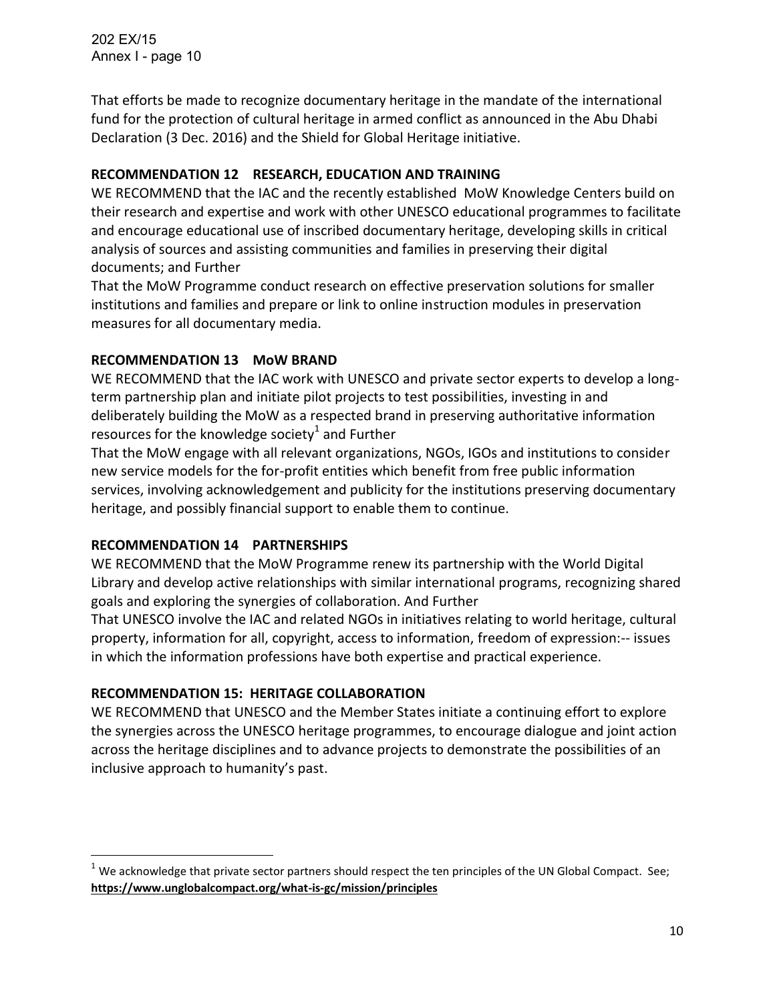202 EX/15 Annex I - page 10

That efforts be made to recognize documentary heritage in the mandate of the international fund for the protection of cultural heritage in armed conflict as announced in the Abu Dhabi Declaration (3 Dec. 2016) and the Shield for Global Heritage initiative.

#### **RECOMMENDATION 12 RESEARCH, EDUCATION AND TRAINING**

WE RECOMMEND that the IAC and the recently established MoW Knowledge Centers build on their research and expertise and work with other UNESCO educational programmes to facilitate and encourage educational use of inscribed documentary heritage, developing skills in critical analysis of sources and assisting communities and families in preserving their digital documents; and Further

That the MoW Programme conduct research on effective preservation solutions for smaller institutions and families and prepare or link to online instruction modules in preservation measures for all documentary media.

#### **RECOMMENDATION 13 MoW BRAND**

WE RECOMMEND that the IAC work with UNESCO and private sector experts to develop a longterm partnership plan and initiate pilot projects to test possibilities, investing in and deliberately building the MoW as a respected brand in preserving authoritative information resources for the knowledge society<sup>1</sup> and Further

That the MoW engage with all relevant organizations, NGOs, IGOs and institutions to consider new service models for the for-profit entities which benefit from free public information services, involving acknowledgement and publicity for the institutions preserving documentary heritage, and possibly financial support to enable them to continue.

#### **RECOMMENDATION 14 PARTNERSHIPS**

WE RECOMMEND that the MoW Programme renew its partnership with the World Digital Library and develop active relationships with similar international programs, recognizing shared goals and exploring the synergies of collaboration. And Further

That UNESCO involve the IAC and related NGOs in initiatives relating to world heritage, cultural property, information for all, copyright, access to information, freedom of expression:-- issues in which the information professions have both expertise and practical experience.

#### **RECOMMENDATION 15: HERITAGE COLLABORATION**

WE RECOMMEND that UNESCO and the Member States initiate a continuing effort to explore the synergies across the UNESCO heritage programmes, to encourage dialogue and joint action across the heritage disciplines and to advance projects to demonstrate the possibilities of an inclusive approach to humanity's past.

 $1$  We acknowledge that private sector partners should respect the ten principles of the UN Global Compact. See; **<https://www.unglobalcompact.org/what-is-gc/mission/principles>**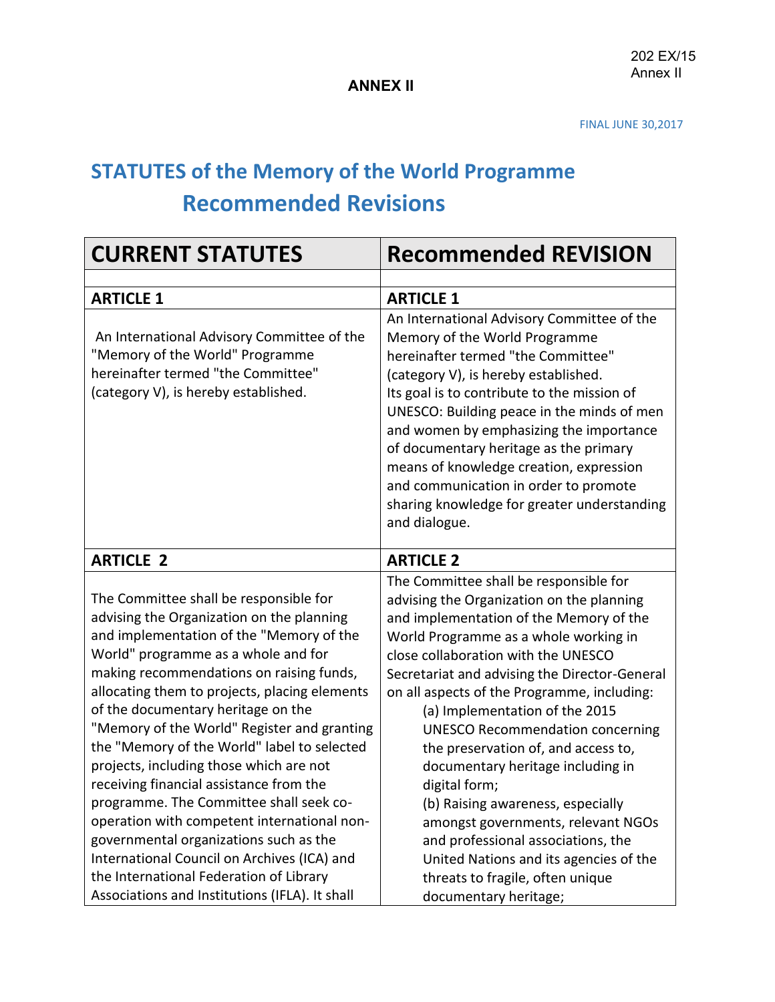## **STATUTES of the Memory of the World Programme Recommended Revisions**

| <b>CURRENT STATUTES</b>                                                                                                                                                                                                                                                                                                                                                                                                                                                                                                                                                                                                                                                                                                                                                       | <b>Recommended REVISION</b>                                                                                                                                                                                                                                                                                                                                                                                                                                                                                                                                                                                                                                                                                      |
|-------------------------------------------------------------------------------------------------------------------------------------------------------------------------------------------------------------------------------------------------------------------------------------------------------------------------------------------------------------------------------------------------------------------------------------------------------------------------------------------------------------------------------------------------------------------------------------------------------------------------------------------------------------------------------------------------------------------------------------------------------------------------------|------------------------------------------------------------------------------------------------------------------------------------------------------------------------------------------------------------------------------------------------------------------------------------------------------------------------------------------------------------------------------------------------------------------------------------------------------------------------------------------------------------------------------------------------------------------------------------------------------------------------------------------------------------------------------------------------------------------|
|                                                                                                                                                                                                                                                                                                                                                                                                                                                                                                                                                                                                                                                                                                                                                                               |                                                                                                                                                                                                                                                                                                                                                                                                                                                                                                                                                                                                                                                                                                                  |
| <b>ARTICLE 1</b>                                                                                                                                                                                                                                                                                                                                                                                                                                                                                                                                                                                                                                                                                                                                                              | <b>ARTICLE 1</b>                                                                                                                                                                                                                                                                                                                                                                                                                                                                                                                                                                                                                                                                                                 |
| An International Advisory Committee of the<br>"Memory of the World" Programme<br>hereinafter termed "the Committee"<br>(category V), is hereby established.                                                                                                                                                                                                                                                                                                                                                                                                                                                                                                                                                                                                                   | An International Advisory Committee of the<br>Memory of the World Programme<br>hereinafter termed "the Committee"<br>(category V), is hereby established.<br>Its goal is to contribute to the mission of<br>UNESCO: Building peace in the minds of men<br>and women by emphasizing the importance<br>of documentary heritage as the primary<br>means of knowledge creation, expression<br>and communication in order to promote<br>sharing knowledge for greater understanding<br>and dialogue.                                                                                                                                                                                                                  |
| <b>ARTICLE 2</b>                                                                                                                                                                                                                                                                                                                                                                                                                                                                                                                                                                                                                                                                                                                                                              | <b>ARTICLE 2</b>                                                                                                                                                                                                                                                                                                                                                                                                                                                                                                                                                                                                                                                                                                 |
| The Committee shall be responsible for<br>advising the Organization on the planning<br>and implementation of the "Memory of the<br>World" programme as a whole and for<br>making recommendations on raising funds,<br>allocating them to projects, placing elements<br>of the documentary heritage on the<br>"Memory of the World" Register and granting<br>the "Memory of the World" label to selected<br>projects, including those which are not<br>receiving financial assistance from the<br>programme. The Committee shall seek co-<br>operation with competent international non-<br>governmental organizations such as the<br>International Council on Archives (ICA) and<br>the International Federation of Library<br>Associations and Institutions (IFLA). It shall | The Committee shall be responsible for<br>advising the Organization on the planning<br>and implementation of the Memory of the<br>World Programme as a whole working in<br>close collaboration with the UNESCO<br>Secretariat and advising the Director-General<br>on all aspects of the Programme, including:<br>(a) Implementation of the 2015<br><b>UNESCO Recommendation concerning</b><br>the preservation of, and access to,<br>documentary heritage including in<br>digital form;<br>(b) Raising awareness, especially<br>amongst governments, relevant NGOs<br>and professional associations, the<br>United Nations and its agencies of the<br>threats to fragile, often unique<br>documentary heritage; |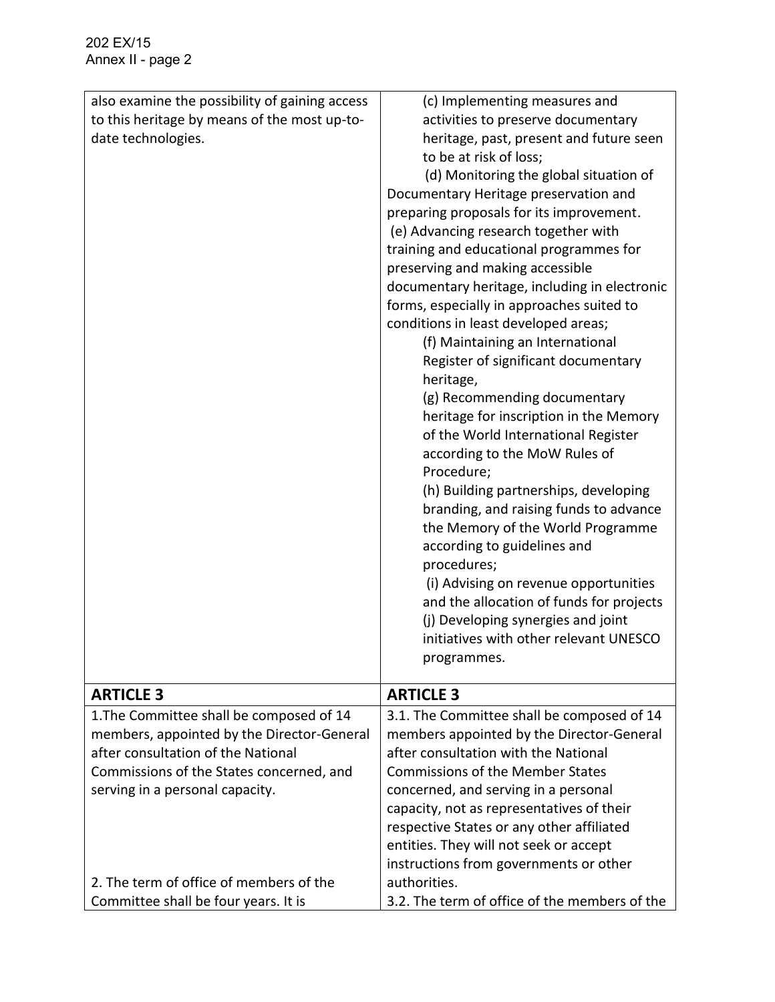| also examine the possibility of gaining access | (c) Implementing measures and                 |
|------------------------------------------------|-----------------------------------------------|
| to this heritage by means of the most up-to-   | activities to preserve documentary            |
| date technologies.                             | heritage, past, present and future seen       |
|                                                | to be at risk of loss;                        |
|                                                | (d) Monitoring the global situation of        |
|                                                | Documentary Heritage preservation and         |
|                                                | preparing proposals for its improvement.      |
|                                                | (e) Advancing research together with          |
|                                                | training and educational programmes for       |
|                                                | preserving and making accessible              |
|                                                | documentary heritage, including in electronic |
|                                                | forms, especially in approaches suited to     |
|                                                | conditions in least developed areas;          |
|                                                | (f) Maintaining an International              |
|                                                | Register of significant documentary           |
|                                                | heritage,                                     |
|                                                | (g) Recommending documentary                  |
|                                                | heritage for inscription in the Memory        |
|                                                | of the World International Register           |
|                                                | according to the MoW Rules of                 |
|                                                | Procedure;                                    |
|                                                | (h) Building partnerships, developing         |
|                                                | branding, and raising funds to advance        |
|                                                | the Memory of the World Programme             |
|                                                | according to guidelines and                   |
|                                                | procedures;                                   |
|                                                | (i) Advising on revenue opportunities         |
|                                                | and the allocation of funds for projects      |
|                                                | (j) Developing synergies and joint            |
|                                                | initiatives with other relevant UNESCO        |
|                                                | programmes.                                   |
|                                                |                                               |
| <b>ARTICLE 3</b>                               | <b>ARTICLE 3</b>                              |
| 1. The Committee shall be composed of 14       | 3.1. The Committee shall be composed of 14    |
| members, appointed by the Director-General     | members appointed by the Director-General     |
| after consultation of the National             | after consultation with the National          |
| Commissions of the States concerned, and       | <b>Commissions of the Member States</b>       |
| serving in a personal capacity.                | concerned, and serving in a personal          |
|                                                | capacity, not as representatives of their     |
|                                                | respective States or any other affiliated     |
|                                                | entities. They will not seek or accept        |
|                                                | instructions from governments or other        |
| 2. The term of office of members of the        | authorities.                                  |
| Committee shall be four years. It is           | 3.2. The term of office of the members of the |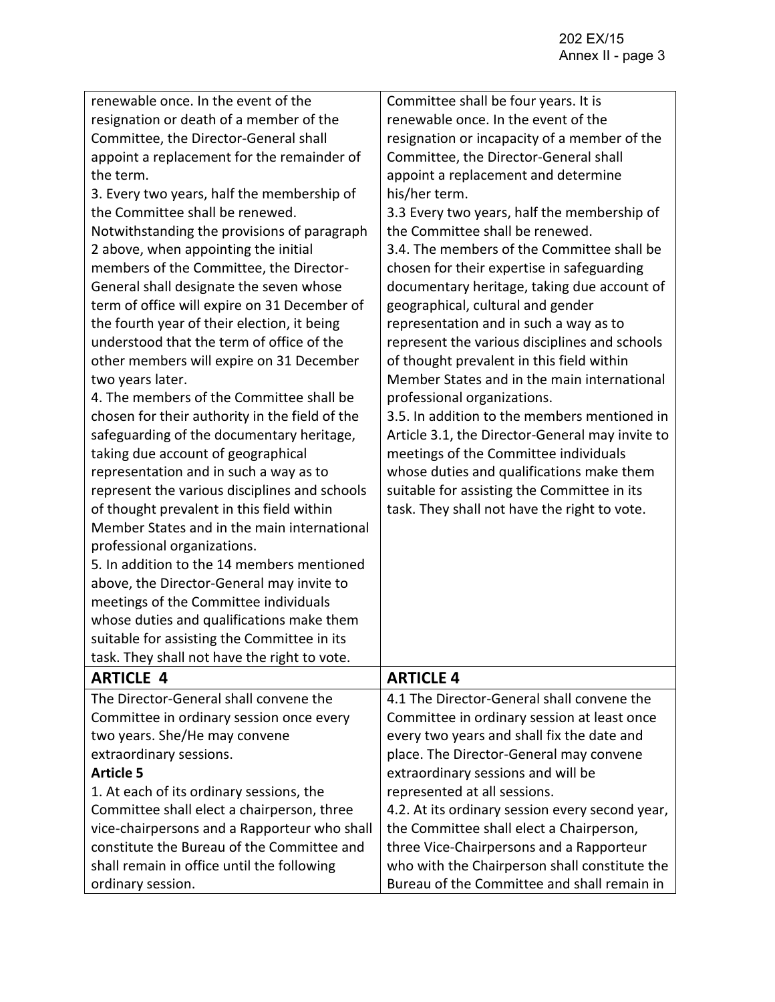| renewable once. In the event of the<br>resignation or death of a member of the<br>Committee, the Director-General shall<br>appoint a replacement for the remainder of<br>the term.<br>3. Every two years, half the membership of<br>the Committee shall be renewed.<br>Notwithstanding the provisions of paragraph<br>2 above, when appointing the initial<br>members of the Committee, the Director-<br>General shall designate the seven whose<br>term of office will expire on 31 December of<br>the fourth year of their election, it being<br>understood that the term of office of the<br>other members will expire on 31 December<br>two years later.<br>4. The members of the Committee shall be<br>chosen for their authority in the field of the<br>safeguarding of the documentary heritage,<br>taking due account of geographical<br>representation and in such a way as to<br>represent the various disciplines and schools<br>of thought prevalent in this field within<br>Member States and in the main international<br>professional organizations.<br>5. In addition to the 14 members mentioned<br>above, the Director-General may invite to<br>meetings of the Committee individuals<br>whose duties and qualifications make them<br>suitable for assisting the Committee in its<br>task. They shall not have the right to vote. | Committee shall be four years. It is<br>renewable once. In the event of the<br>resignation or incapacity of a member of the<br>Committee, the Director-General shall<br>appoint a replacement and determine<br>his/her term.<br>3.3 Every two years, half the membership of<br>the Committee shall be renewed.<br>3.4. The members of the Committee shall be<br>chosen for their expertise in safeguarding<br>documentary heritage, taking due account of<br>geographical, cultural and gender<br>representation and in such a way as to<br>represent the various disciplines and schools<br>of thought prevalent in this field within<br>Member States and in the main international<br>professional organizations.<br>3.5. In addition to the members mentioned in<br>Article 3.1, the Director-General may invite to<br>meetings of the Committee individuals<br>whose duties and qualifications make them<br>suitable for assisting the Committee in its<br>task. They shall not have the right to vote. |
|-----------------------------------------------------------------------------------------------------------------------------------------------------------------------------------------------------------------------------------------------------------------------------------------------------------------------------------------------------------------------------------------------------------------------------------------------------------------------------------------------------------------------------------------------------------------------------------------------------------------------------------------------------------------------------------------------------------------------------------------------------------------------------------------------------------------------------------------------------------------------------------------------------------------------------------------------------------------------------------------------------------------------------------------------------------------------------------------------------------------------------------------------------------------------------------------------------------------------------------------------------------------------------------------------------------------------------------------------------|--------------------------------------------------------------------------------------------------------------------------------------------------------------------------------------------------------------------------------------------------------------------------------------------------------------------------------------------------------------------------------------------------------------------------------------------------------------------------------------------------------------------------------------------------------------------------------------------------------------------------------------------------------------------------------------------------------------------------------------------------------------------------------------------------------------------------------------------------------------------------------------------------------------------------------------------------------------------------------------------------------------|
| <b>ARTICLE 4</b>                                                                                                                                                                                                                                                                                                                                                                                                                                                                                                                                                                                                                                                                                                                                                                                                                                                                                                                                                                                                                                                                                                                                                                                                                                                                                                                                    | <b>ARTICLE 4</b>                                                                                                                                                                                                                                                                                                                                                                                                                                                                                                                                                                                                                                                                                                                                                                                                                                                                                                                                                                                             |
| The Director-General shall convene the<br>Committee in ordinary session once every<br>two years. She/He may convene<br>extraordinary sessions.<br><b>Article 5</b><br>1. At each of its ordinary sessions, the<br>Committee shall elect a chairperson, three<br>vice-chairpersons and a Rapporteur who shall<br>constitute the Bureau of the Committee and<br>shall remain in office until the following                                                                                                                                                                                                                                                                                                                                                                                                                                                                                                                                                                                                                                                                                                                                                                                                                                                                                                                                            | 4.1 The Director-General shall convene the<br>Committee in ordinary session at least once<br>every two years and shall fix the date and<br>place. The Director-General may convene<br>extraordinary sessions and will be<br>represented at all sessions.<br>4.2. At its ordinary session every second year,<br>the Committee shall elect a Chairperson,<br>three Vice-Chairpersons and a Rapporteur<br>who with the Chairperson shall constitute the                                                                                                                                                                                                                                                                                                                                                                                                                                                                                                                                                         |
| ordinary session.                                                                                                                                                                                                                                                                                                                                                                                                                                                                                                                                                                                                                                                                                                                                                                                                                                                                                                                                                                                                                                                                                                                                                                                                                                                                                                                                   | Bureau of the Committee and shall remain in                                                                                                                                                                                                                                                                                                                                                                                                                                                                                                                                                                                                                                                                                                                                                                                                                                                                                                                                                                  |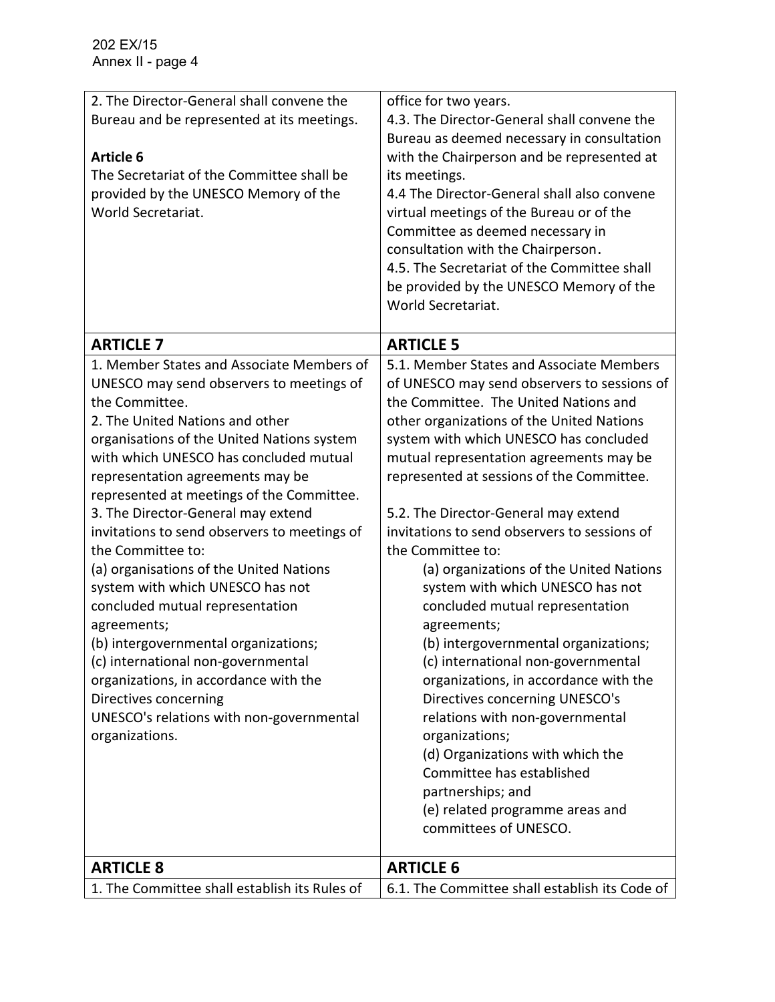| 2. The Director-General shall convene the<br>Bureau and be represented at its meetings.<br><b>Article 6</b><br>The Secretariat of the Committee shall be<br>provided by the UNESCO Memory of the<br>World Secretariat.                                                                                                                                                                                                                                                                                                                                                                                                                                                                                                                                                        | office for two years.<br>4.3. The Director-General shall convene the<br>Bureau as deemed necessary in consultation<br>with the Chairperson and be represented at<br>its meetings.<br>4.4 The Director-General shall also convene<br>virtual meetings of the Bureau or of the<br>Committee as deemed necessary in<br>consultation with the Chairperson.<br>4.5. The Secretariat of the Committee shall<br>be provided by the UNESCO Memory of the<br>World Secretariat.                                                                                                                                                                                                                                                                                                                                                                                                                                                        |
|-------------------------------------------------------------------------------------------------------------------------------------------------------------------------------------------------------------------------------------------------------------------------------------------------------------------------------------------------------------------------------------------------------------------------------------------------------------------------------------------------------------------------------------------------------------------------------------------------------------------------------------------------------------------------------------------------------------------------------------------------------------------------------|-------------------------------------------------------------------------------------------------------------------------------------------------------------------------------------------------------------------------------------------------------------------------------------------------------------------------------------------------------------------------------------------------------------------------------------------------------------------------------------------------------------------------------------------------------------------------------------------------------------------------------------------------------------------------------------------------------------------------------------------------------------------------------------------------------------------------------------------------------------------------------------------------------------------------------|
| <b>ARTICLE 7</b>                                                                                                                                                                                                                                                                                                                                                                                                                                                                                                                                                                                                                                                                                                                                                              | <b>ARTICLE 5</b>                                                                                                                                                                                                                                                                                                                                                                                                                                                                                                                                                                                                                                                                                                                                                                                                                                                                                                              |
| 1. Member States and Associate Members of<br>UNESCO may send observers to meetings of<br>the Committee.<br>2. The United Nations and other<br>organisations of the United Nations system<br>with which UNESCO has concluded mutual<br>representation agreements may be<br>represented at meetings of the Committee.<br>3. The Director-General may extend<br>invitations to send observers to meetings of<br>the Committee to:<br>(a) organisations of the United Nations<br>system with which UNESCO has not<br>concluded mutual representation<br>agreements;<br>(b) intergovernmental organizations;<br>(c) international non-governmental<br>organizations, in accordance with the<br>Directives concerning<br>UNESCO's relations with non-governmental<br>organizations. | 5.1. Member States and Associate Members<br>of UNESCO may send observers to sessions of<br>the Committee. The United Nations and<br>other organizations of the United Nations<br>system with which UNESCO has concluded<br>mutual representation agreements may be<br>represented at sessions of the Committee.<br>5.2. The Director-General may extend<br>invitations to send observers to sessions of<br>the Committee to:<br>(a) organizations of the United Nations<br>system with which UNESCO has not<br>concluded mutual representation<br>agreements;<br>(b) intergovernmental organizations;<br>(c) international non-governmental<br>organizations, in accordance with the<br>Directives concerning UNESCO's<br>relations with non-governmental<br>organizations;<br>(d) Organizations with which the<br>Committee has established<br>partnerships; and<br>(e) related programme areas and<br>committees of UNESCO. |
|                                                                                                                                                                                                                                                                                                                                                                                                                                                                                                                                                                                                                                                                                                                                                                               |                                                                                                                                                                                                                                                                                                                                                                                                                                                                                                                                                                                                                                                                                                                                                                                                                                                                                                                               |
| <b>ARTICLE 8</b>                                                                                                                                                                                                                                                                                                                                                                                                                                                                                                                                                                                                                                                                                                                                                              | <b>ARTICLE 6</b>                                                                                                                                                                                                                                                                                                                                                                                                                                                                                                                                                                                                                                                                                                                                                                                                                                                                                                              |
| 1. The Committee shall establish its Rules of                                                                                                                                                                                                                                                                                                                                                                                                                                                                                                                                                                                                                                                                                                                                 | 6.1. The Committee shall establish its Code of                                                                                                                                                                                                                                                                                                                                                                                                                                                                                                                                                                                                                                                                                                                                                                                                                                                                                |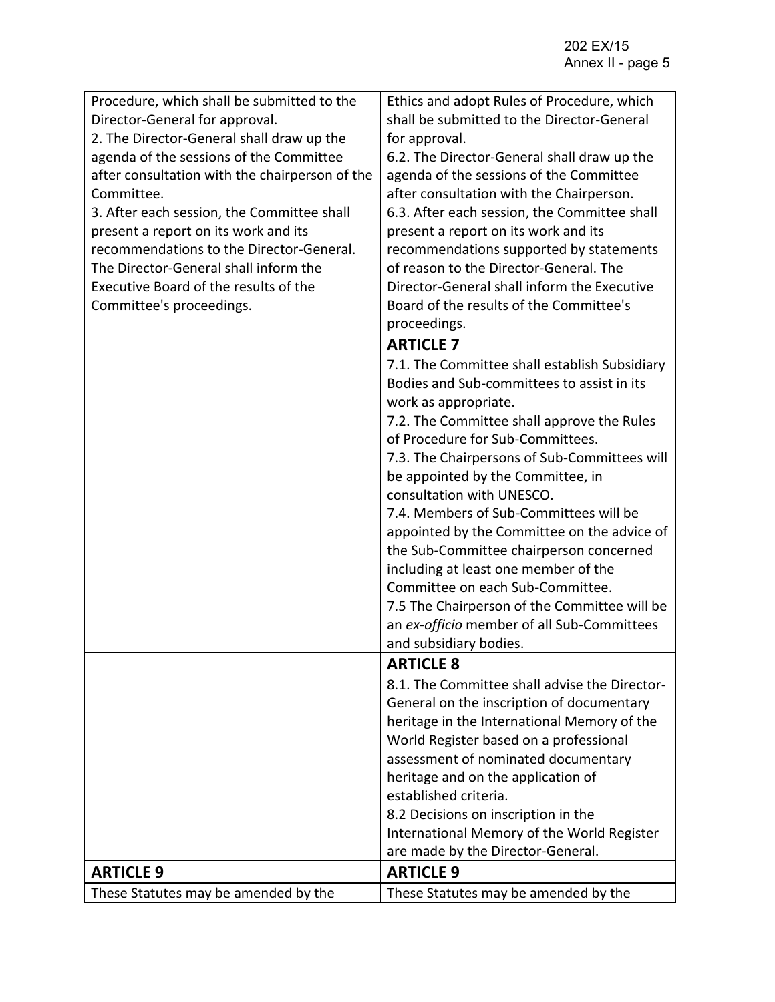| Procedure, which shall be submitted to the<br>Director-General for approval.<br>2. The Director-General shall draw up the<br>agenda of the sessions of the Committee<br>after consultation with the chairperson of the<br>Committee.<br>3. After each session, the Committee shall<br>present a report on its work and its<br>recommendations to the Director-General. | Ethics and adopt Rules of Procedure, which<br>shall be submitted to the Director-General<br>for approval.<br>6.2. The Director-General shall draw up the<br>agenda of the sessions of the Committee<br>after consultation with the Chairperson.<br>6.3. After each session, the Committee shall<br>present a report on its work and its<br>recommendations supported by statements                                                                                                                                                                                                                                                                              |
|------------------------------------------------------------------------------------------------------------------------------------------------------------------------------------------------------------------------------------------------------------------------------------------------------------------------------------------------------------------------|-----------------------------------------------------------------------------------------------------------------------------------------------------------------------------------------------------------------------------------------------------------------------------------------------------------------------------------------------------------------------------------------------------------------------------------------------------------------------------------------------------------------------------------------------------------------------------------------------------------------------------------------------------------------|
| The Director-General shall inform the<br>Executive Board of the results of the                                                                                                                                                                                                                                                                                         | of reason to the Director-General. The<br>Director-General shall inform the Executive<br>Board of the results of the Committee's                                                                                                                                                                                                                                                                                                                                                                                                                                                                                                                                |
| Committee's proceedings.                                                                                                                                                                                                                                                                                                                                               | proceedings.                                                                                                                                                                                                                                                                                                                                                                                                                                                                                                                                                                                                                                                    |
|                                                                                                                                                                                                                                                                                                                                                                        | <b>ARTICLE 7</b>                                                                                                                                                                                                                                                                                                                                                                                                                                                                                                                                                                                                                                                |
|                                                                                                                                                                                                                                                                                                                                                                        | 7.1. The Committee shall establish Subsidiary<br>Bodies and Sub-committees to assist in its<br>work as appropriate.<br>7.2. The Committee shall approve the Rules<br>of Procedure for Sub-Committees.<br>7.3. The Chairpersons of Sub-Committees will<br>be appointed by the Committee, in<br>consultation with UNESCO.<br>7.4. Members of Sub-Committees will be<br>appointed by the Committee on the advice of<br>the Sub-Committee chairperson concerned<br>including at least one member of the<br>Committee on each Sub-Committee.<br>7.5 The Chairperson of the Committee will be<br>an ex-officio member of all Sub-Committees<br>and subsidiary bodies. |
|                                                                                                                                                                                                                                                                                                                                                                        | <b>ARTICLE 8</b>                                                                                                                                                                                                                                                                                                                                                                                                                                                                                                                                                                                                                                                |
|                                                                                                                                                                                                                                                                                                                                                                        | 8.1. The Committee shall advise the Director-<br>General on the inscription of documentary<br>heritage in the International Memory of the<br>World Register based on a professional<br>assessment of nominated documentary<br>heritage and on the application of<br>established criteria.<br>8.2 Decisions on inscription in the<br>International Memory of the World Register<br>are made by the Director-General.                                                                                                                                                                                                                                             |
| <b>ARTICLE 9</b>                                                                                                                                                                                                                                                                                                                                                       | <b>ARTICLE 9</b>                                                                                                                                                                                                                                                                                                                                                                                                                                                                                                                                                                                                                                                |
| These Statutes may be amended by the                                                                                                                                                                                                                                                                                                                                   | These Statutes may be amended by the                                                                                                                                                                                                                                                                                                                                                                                                                                                                                                                                                                                                                            |